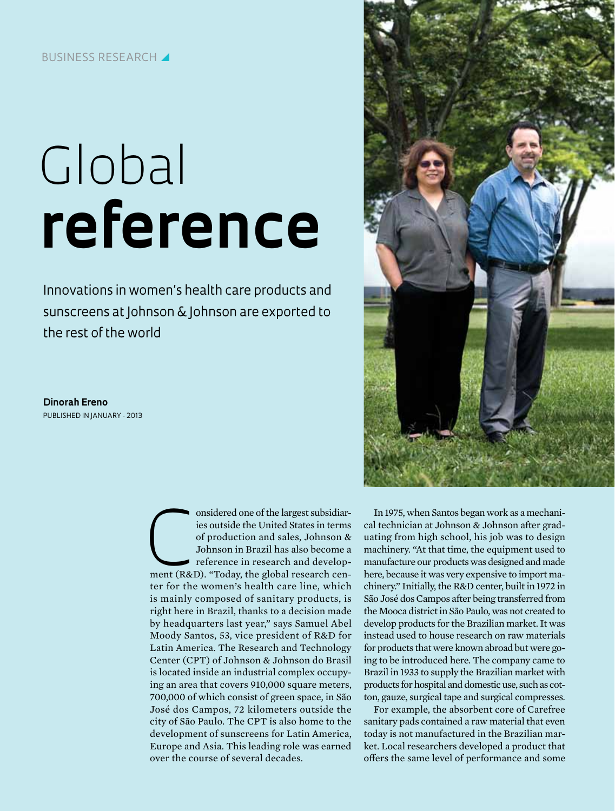## Business research y

## Global **reference**

Innovations in women's health care products and sunscreens at Johnson & Johnson are exported to the rest of the world

**Dinorah Ereno** Published in January - 2013

> onsidered one of the largest subsidiaries outside the United States in terms of production and sales, Johnson & Johnson in Brazil has also become a reference in research and development (R&D). "Today, the global research c ies outside the United States in terms of production and sales, Johnson & Johnson in Brazil has also become a reference in research and developter for the women's health care line, which is mainly composed of sanitary products, is right here in Brazil, thanks to a decision made by headquarters last year," says Samuel Abel Moody Santos, 53, vice president of R&D for Latin America. The Research and Technology Center (CPT) of Johnson & Johnson do Brasil is located inside an industrial complex occupying an area that covers 910,000 square meters, 700,000 of which consist of green space, in São José dos Campos, 72 kilometers outside the city of São Paulo. The CPT is also home to the development of sunscreens for Latin America, Europe and Asia. This leading role was earned over the course of several decades.



In 1975, when Santos began work as a mechanical technician at Johnson & Johnson after graduating from high school, his job was to design machinery. "At that time, the equipment used to manufacture our products was designed and made here, because it was very expensive to import machinery." Initially, the R&D center, built in 1972 in São José dos Campos after being transferred from the Mooca district in São Paulo, was not created to develop products for the Brazilian market. It was instead used to house research on raw materials for products that were known abroad but were going to be introduced here. The company came to Brazil in 1933 to supply the Brazilian market with products for hospital and domestic use, such as cotton, gauze, surgical tape and surgical compresses.

For example, the absorbent core of Carefree sanitary pads contained a raw material that even today is not manufactured in the Brazilian market. Local researchers developed a product that offers the same level of performance and some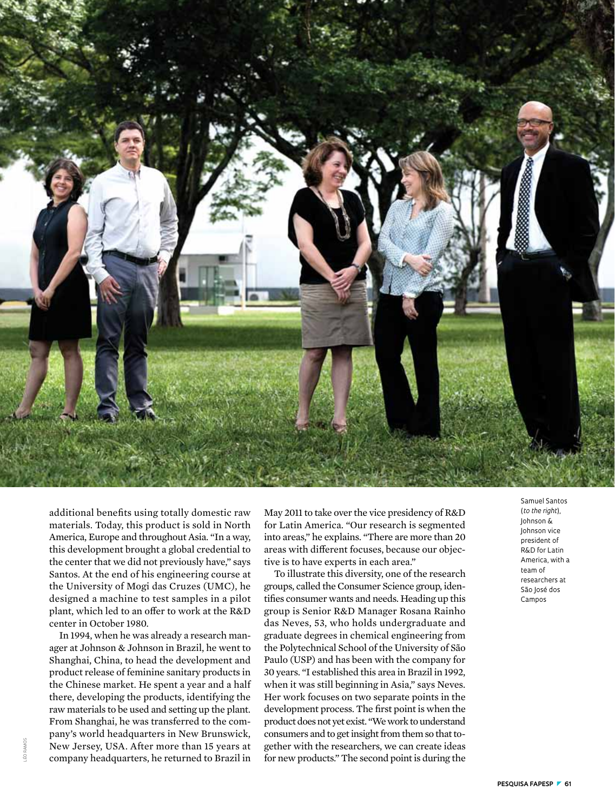

additional benefits using totally domestic raw materials. Today, this product is sold in North America, Europe and throughout Asia. "In a way, this development brought a global credential to the center that we did not previously have," says Santos. At the end of his engineering course at the University of Mogi das Cruzes (UMC), he designed a machine to test samples in a pilot plant, which led to an offer to work at the R&D center in October 1980.

In 1994, when he was already a research manager at Johnson & Johnson in Brazil, he went to Shanghai, China, to head the development and product release of feminine sanitary products in the Chinese market. He spent a year and a half there, developing the products, identifying the raw materials to be used and setting up the plant. From Shanghai, he was transferred to the company's world headquarters in New Brunswick, New Jersey, USA. After more than 15 years at company headquarters, he returned to Brazil in

May 2011 to take over the vice presidency of R&D for Latin America. "Our research is segmented into areas," he explains. "There are more than 20 areas with different focuses, because our objective is to have experts in each area."

To illustrate this diversity, one of the research groups, called the Consumer Science group, identifies consumer wants and needs. Heading up this group is Senior R&D Manager Rosana Rainho das Neves, 53, who holds undergraduate and graduate degrees in chemical engineering from the Polytechnical School of the University of São Paulo (USP) and has been with the company for 30 years. "I established this area in Brazil in 1992, when it was still beginning in Asia," says Neves. Her work focuses on two separate points in the development process. The first point is when the product does not yet exist. "We work to understand consumers and to get insight from them so that together with the researchers, we can create ideas for new products." The second point is during the (*to the right*), Johnson & Johnson vice president of R&D for Latin America, with a team of researchers at São José dos Campos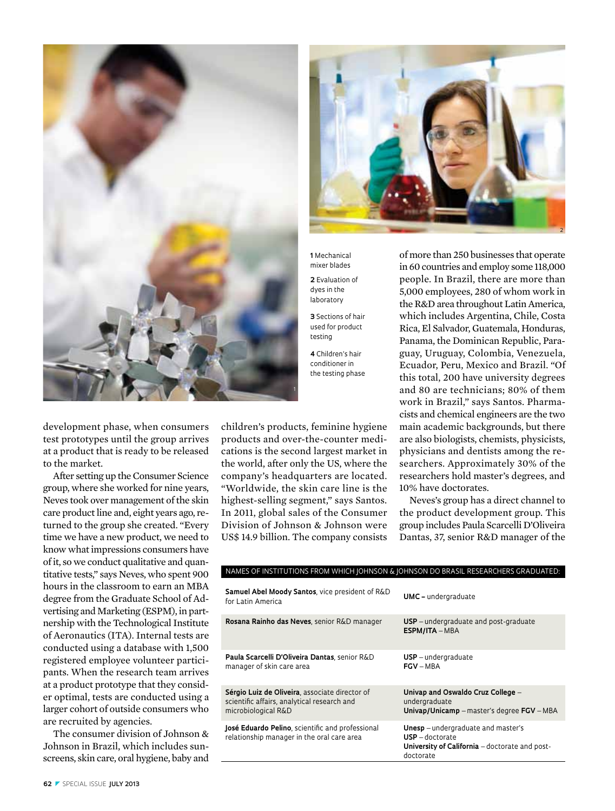



After setting up the Consumer Science group, where she worked for nine years, Neves took over management of the skin care product line and, eight years ago, returned to the group she created. "Every time we have a new product, we need to know what impressions consumers have of it, so we conduct qualitative and quantitative tests," says Neves, who spent 900 hours in the classroom to earn an MBA degree from the Graduate School of Advertising and Marketing (ESPM), in partnership with the Technological Institute of Aeronautics (ITA). Internal tests are conducted using a database with 1,500 registered employee volunteer participants. When the research team arrives at a product prototype that they consider optimal, tests are conducted using a larger cohort of outside consumers who are recruited by agencies.

The consumer division of Johnson & Johnson in Brazil, which includes sunscreens, skin care, oral hygiene, baby and

children's products, feminine hygiene products and over-the-counter medications is the second largest market in the world, after only the US, where the company's headquarters are located. "Worldwide, the skin care line is the highest-selling segment," says Santos. In 2011, global sales of the Consumer Division of Johnson & Johnson were US\$ 14.9 billion. The company consists



**1** Mechanical mixer blades

**2** Evaluation of dyes in the laboratory

**3** Sections of hair used for product testing

**4** Children's hair conditioner in the testing phase of more than 250 businesses that operate in 60 countries and employ some 118,000 people. In Brazil, there are more than 5,000 employees, 280 of whom work in the R&D area throughout Latin America, which includes Argentina, Chile, Costa Rica, El Salvador, Guatemala, Honduras, Panama, the Dominican Republic, Paraguay, Uruguay, Colombia, Venezuela, Ecuador, Peru, Mexico and Brazil. "Of this total, 200 have university degrees and 80 are technicians; 80% of them work in Brazil," says Santos. Pharmacists and chemical engineers are the two main academic backgrounds, but there are also biologists, chemists, physicists, physicians and dentists among the researchers. Approximately 30% of the researchers hold master's degrees, and 10% have doctorates.

Neves's group has a direct channel to the product development group. This group includes Paula Scarcelli D'Oliveira Dantas, 37, senior R&D manager of the

| <b>Samuel Abel Moody Santos</b> , vice president of R&D<br>for Latin America                                         | <b>UMC</b> – undergraduate                                                                                                    |
|----------------------------------------------------------------------------------------------------------------------|-------------------------------------------------------------------------------------------------------------------------------|
| Rosana Rainho das Neves, senior R&D manager                                                                          | $USP$ – undergraduate and post-graduate<br>$ESPM/ITA - MBA$                                                                   |
| Paula Scarcelli D'Oliveira Dantas, senior R&D<br>manager of skin care area                                           | $USP$ – undergraduate<br>$FGV - MRA$                                                                                          |
| Sérgio Luiz de Oliveira, associate director of<br>scientific affairs, analytical research and<br>microbiological R&D | Univap and Oswaldo Cruz College –<br>undergraduate<br>Univap/Unicamp – master's degree FGV – MBA                              |
| <b>José Eduardo Pelino</b> , scientific and professional<br>relationship manager in the oral care area               | <b>Unesp</b> - undergraduate and master's<br>$USP - doctorate$<br>University of California - doctorate and post-<br>doctorate |
|                                                                                                                      |                                                                                                                               |

Names of institutions from which Johnson & Johnson do Brasil researchers graduated:

## **62** z special issue **July 2013**